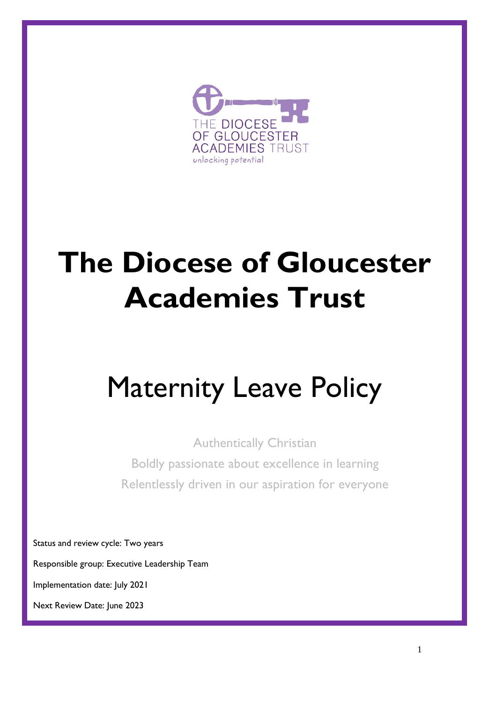

## **The Diocese of Gloucester Academies Trust**

# Maternity Leave Policy

Authentically Christian Boldly passionate about excellence in learning Relentlessly driven in our aspiration for everyone

Status and review cycle: Two years Responsible group: Executive Leadership Team Implementation date: July 2021 Next Review Date: June 2023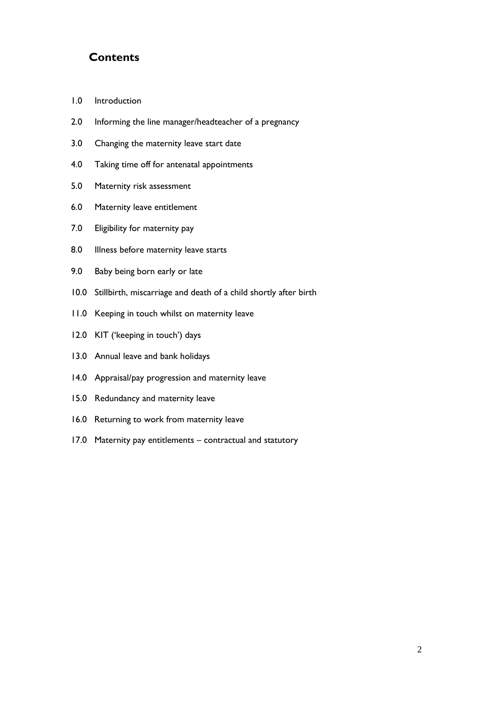### **Contents**

- 1.0 [Introduction](#page-2-0)
- 2.0 [Informing the line manager/headteacher](#page-2-1) of a pregnancy
- 3.0 [Changing the maternity leave start date](#page-2-2)
- 4.0 [Taking time off for antenatal appointments](#page-3-0)
- 5.0 [Maternity risk assessment](#page-3-1)
- 6.0 [Maternity leave entitlement](#page-3-2)
- 7.0 [Eligibility for maternity pay](#page-3-3)
- 8.0 [Illness before maternity leave starts](#page-4-0)
- 9.0 [Baby being born early or late](#page-4-1)
- 10.0 [Stillbirth, miscarriage and death of a child shortly after birth](#page-5-0)
- 11.0 [Keeping in touch whilst on maternity leave](#page-5-1)
- 12.0 [KIT \('keeping in touch'\) days](#page-5-2)
- 13.0 [Annual leave and bank holidays](#page-5-3)
- 14.0 [Appraisal/pay progression and maternity leave](#page-6-0)
- 15.0 [Redundancy and maternity leave](#page-6-1)
- 16.0 [Returning to work from maternity leave](#page-7-0)
- 17.0 Maternity pay entitlements [contractual and statutory](#page-7-1)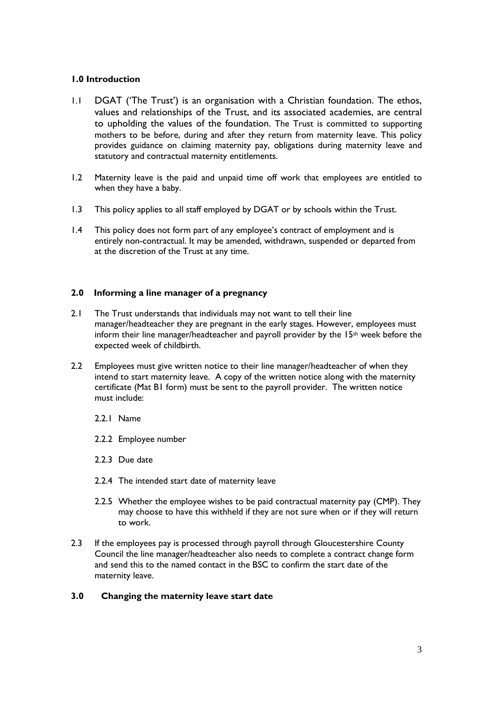#### <span id="page-2-0"></span>**1.0 Introduction**

- 1.1 DGAT ('The Trust') is an organisation with a Christian foundation. The ethos, values and relationships of the Trust, and its associated academies, are central to upholding the values of the foundation. The Trust is committed to supporting mothers to be before, during and after they return from maternity leave. This policy provides guidance on claiming maternity pay, obligations during maternity leave and statutory and contractual maternity entitlements.
- 1.2 Maternity leave is the paid and unpaid time off work that employees are entitled to when they have a baby.
- 1.3 This policy applies to all staff employed by DGAT or by schools within the Trust.
- 1.4 This policy does not form part of any employee's contract of employment and is entirely non-contractual. It may be amended, withdrawn, suspended or departed from at the discretion of the Trust at any time.

#### <span id="page-2-1"></span>**2.0 Informing a line manager of a pregnancy**

- 2.1 The Trust understands that individuals may not want to tell their line manager/headteacher they are pregnant in the early stages. However, employees must inform their line manager/headteacher and payroll provider by the 15th week before the expected week of childbirth.
- 2.2 Employees must give written notice to their line manager/headteacher of when they intend to start maternity leave. A copy of the written notice along with the maternity certificate (Mat B1 form) must be sent to the payroll provider. The written notice must include:
	- 2.2.1 Name
	- 2.2.2 Employee number
	- 2.2.3 Due date
	- 2.2.4 The intended start date of maternity leave
	- 2.2.5 Whether the employee wishes to be paid contractual maternity pay (CMP). They may choose to have this withheld if they are not sure when or if they will return to work.
- 2.3 If the employees pay is processed through payroll through Gloucestershire County Council the line manager/headteacher also needs to complete a contract change form and send this to the named contact in the BSC to confirm the start date of the maternity leave.

#### <span id="page-2-2"></span>**3.0 Changing the maternity leave start date**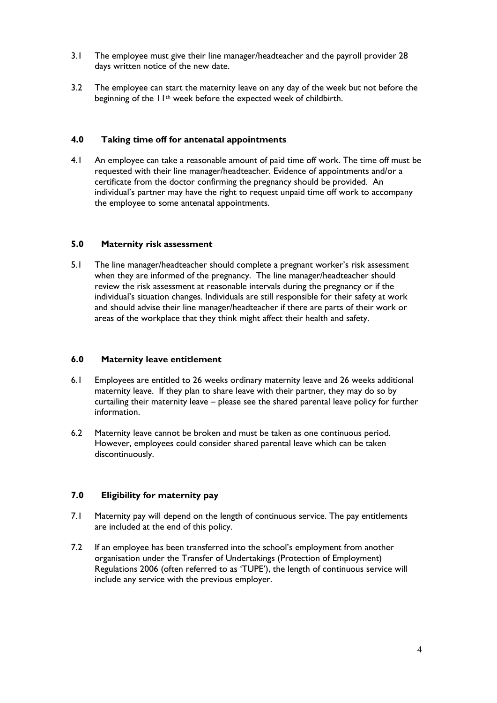- 3.1 The employee must give their line manager/headteacher and the payroll provider 28 days written notice of the new date.
- 3.2 The employee can start the maternity leave on any day of the week but not before the beginning of the 11th week before the expected week of childbirth.

#### <span id="page-3-0"></span>**4.0 Taking time off for antenatal appointments**

4.1 An employee can take a reasonable amount of paid time off work. The time off must be requested with their line manager/headteacher. Evidence of appointments and/or a certificate from the doctor confirming the pregnancy should be provided. An individual's partner may have the right to request unpaid time off work to accompany the employee to some antenatal appointments.

#### <span id="page-3-1"></span>**5.0 Maternity risk assessment**

5.1 The line manager/headteacher should complete a pregnant worker's risk assessment when they are informed of the pregnancy. The line manager/headteacher should review the risk assessment at reasonable intervals during the pregnancy or if the individual's situation changes. Individuals are still responsible for their safety at work and should advise their line manager/headteacher if there are parts of their work or areas of the workplace that they think might affect their health and safety.

#### <span id="page-3-2"></span>**6.0 Maternity leave entitlement**

- 6.1 Employees are entitled to 26 weeks ordinary maternity leave and 26 weeks additional maternity leave. If they plan to share leave with their partner, they may do so by curtailing their maternity leave – please see the shared parental leave policy for further information.
- 6.2 Maternity leave cannot be broken and must be taken as one continuous period. However, employees could consider shared parental leave which can be taken discontinuously.

#### <span id="page-3-3"></span>**7.0 Eligibility for maternity pay**

- 7.1 Maternity pay will depend on the length of continuous service. The pay entitlements are included at the end of this policy.
- 7.2 If an employee has been transferred into the school's employment from another organisation under the Transfer of Undertakings (Protection of Employment) Regulations 2006 (often referred to as 'TUPE'), the length of continuous service will include any service with the previous employer.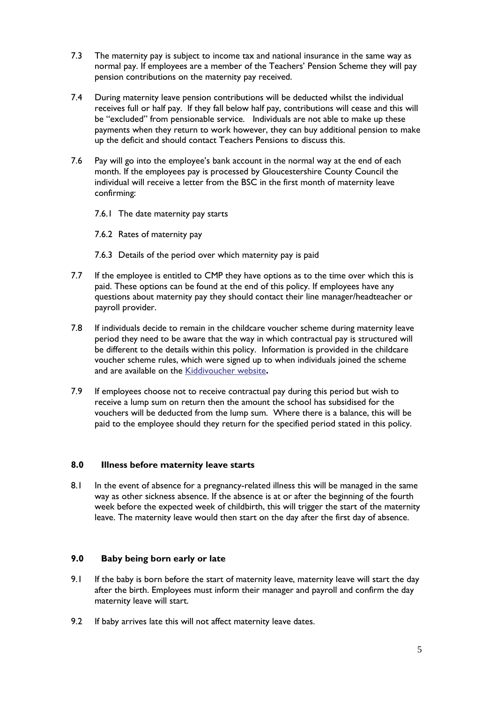- 7.3 The maternity pay is subject to income tax and national insurance in the same way as normal pay. If employees are a member of the Teachers' Pension Scheme they will pay pension contributions on the maternity pay received.
- 7.4 During maternity leave pension contributions will be deducted whilst the individual receives full or half pay. If they fall below half pay, contributions will cease and this will be "excluded" from pensionable service. Individuals are not able to make up these payments when they return to work however, they can buy additional pension to make up the deficit and should contact Teachers Pensions to discuss this.
- 7.6 Pay will go into the employee's bank account in the normal way at the end of each month. If the employees pay is processed by Gloucestershire County Council the individual will receive a letter from the BSC in the first month of maternity leave confirming:
	- 7.6.1 The date maternity pay starts
	- 7.6.2 Rates of maternity pay
	- 7.6.3 Details of the period over which maternity pay is paid
- 7.7 If the employee is entitled to CMP they have options as to the time over which this is paid. These options can be found at the end of this policy. If employees have any questions about maternity pay they should contact their line manager/headteacher or payroll provider.
- 7.8 If individuals decide to remain in the childcare voucher scheme during maternity leave period they need to be aware that the way in which contractual pay is structured will be different to the details within this policy. Information is provided in the childcare voucher scheme rules, which were signed up to when individuals joined the scheme and are available on the [Kiddivoucher website](https://www.kiddivouchers.com/)**.**
- 7.9 If employees choose not to receive contractual pay during this period but wish to receive a lump sum on return then the amount the school has subsidised for the vouchers will be deducted from the lump sum. Where there is a balance, this will be paid to the employee should they return for the specified period stated in this policy.

#### <span id="page-4-0"></span>**8.0 Illness before maternity leave starts**

8.1 In the event of absence for a pregnancy-related illness this will be managed in the same way as other sickness absence. If the absence is at or after the beginning of the fourth week before the expected week of childbirth, this will trigger the start of the maternity leave. The maternity leave would then start on the day after the first day of absence.

#### <span id="page-4-1"></span>**9.0 Baby being born early or late**

- 9.1 If the baby is born before the start of maternity leave, maternity leave will start the day after the birth. Employees must inform their manager and payroll and confirm the day maternity leave will start.
- 9.2 If baby arrives late this will not affect maternity leave dates.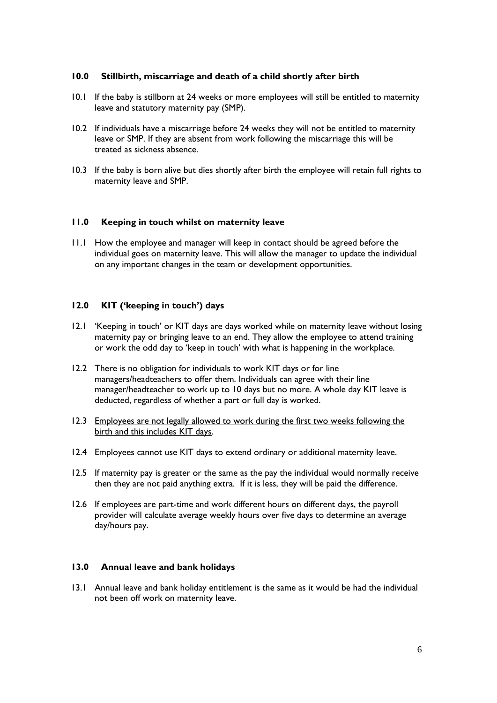#### <span id="page-5-0"></span>**10.0 Stillbirth, miscarriage and death of a child shortly after birth**

- 10.1 If the baby is stillborn at 24 weeks or more employees will still be entitled to maternity leave and statutory maternity pay (SMP).
- 10.2 If individuals have a miscarriage before 24 weeks they will not be entitled to maternity leave or SMP. If they are absent from work following the miscarriage this will be treated as sickness absence.
- 10.3 If the baby is born alive but dies shortly after birth the employee will retain full rights to maternity leave and SMP.

#### <span id="page-5-1"></span>**11.0 Keeping in touch whilst on maternity leave**

11.1 How the employee and manager will keep in contact should be agreed before the individual goes on maternity leave. This will allow the manager to update the individual on any important changes in the team or development opportunities.

#### <span id="page-5-2"></span>**12.0 KIT ('keeping in touch') days**

- 12.1 'Keeping in touch' or KIT days are days worked while on maternity leave without losing maternity pay or bringing leave to an end. They allow the employee to attend training or work the odd day to 'keep in touch' with what is happening in the workplace.
- 12.2 There is no obligation for individuals to work KIT days or for line managers/headteachers to offer them. Individuals can agree with their line manager/headteacher to work up to 10 days but no more. A whole day KIT leave is deducted, regardless of whether a part or full day is worked.
- 12.3 Employees are not legally allowed to work during the first two weeks following the birth and this includes KIT days.
- 12.4 Employees cannot use KIT days to extend ordinary or additional maternity leave.
- 12.5 If maternity pay is greater or the same as the pay the individual would normally receive then they are not paid anything extra. If it is less, they will be paid the difference.
- 12.6 If employees are part-time and work different hours on different days, the payroll provider will calculate average weekly hours over five days to determine an average day/hours pay.

#### <span id="page-5-3"></span>**13.0 Annual leave and bank holidays**

13.1 Annual leave and bank holiday entitlement is the same as it would be had the individual not been off work on maternity leave.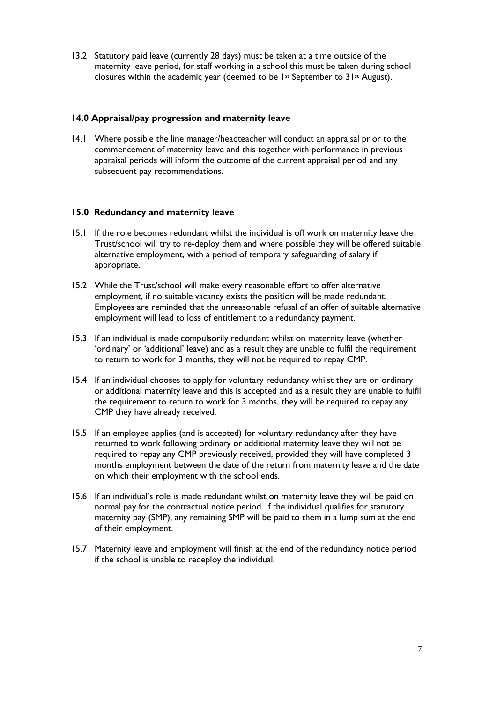13.2 Statutory paid leave (currently 28 days) must be taken at a time outside of the maternity leave period, for staff working in a school this must be taken during school closures within the academic year (deemed to be  $1st$  September to  $31st$  August).

#### <span id="page-6-0"></span>**14.0 Appraisal/pay progression and maternity leave**

14.1 Where possible the line manager/headteacher will conduct an appraisal prior to the commencement of maternity leave and this together with performance in previous appraisal periods will inform the outcome of the current appraisal period and any subsequent pay recommendations.

#### <span id="page-6-1"></span>**15.0 Redundancy and maternity leave**

- 15.1 If the role becomes redundant whilst the individual is off work on maternity leave the Trust/school will try to re-deploy them and where possible they will be offered suitable alternative employment, with a period of temporary safeguarding of salary if appropriate.
- 15.2 While the Trust/school will make every reasonable effort to offer alternative employment, if no suitable vacancy exists the position will be made redundant. Employees are reminded that the unreasonable refusal of an offer of suitable alternative employment will lead to loss of entitlement to a redundancy payment.
- 15.3 If an individual is made compulsorily redundant whilst on maternity leave (whether 'ordinary' or 'additional' leave) and as a result they are unable to fulfil the requirement to return to work for 3 months, they will not be required to repay CMP.
- 15.4 If an individual chooses to apply for voluntary redundancy whilst they are on ordinary or additional maternity leave and this is accepted and as a result they are unable to fulfil the requirement to return to work for 3 months, they will be required to repay any CMP they have already received.
- 15.5 If an employee applies (and is accepted) for voluntary redundancy after they have returned to work following ordinary or additional maternity leave they will not be required to repay any CMP previously received, provided they will have completed 3 months employment between the date of the return from maternity leave and the date on which their employment with the school ends.
- 15.6 If an individual's role is made redundant whilst on maternity leave they will be paid on normal pay for the contractual notice period. If the individual qualifies for statutory maternity pay (SMP), any remaining SMP will be paid to them in a lump sum at the end of their employment.
- 15.7 Maternity leave and employment will finish at the end of the redundancy notice period if the school is unable to redeploy the individual.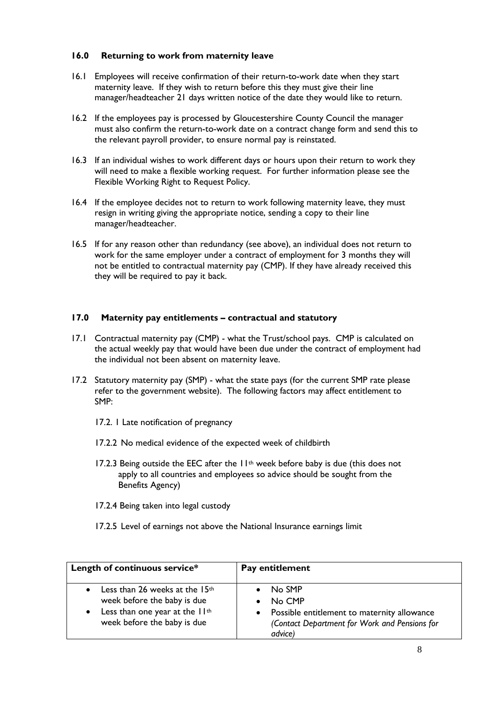#### <span id="page-7-0"></span>**16.0 Returning to work from maternity leave**

- 16.1 Employees will receive confirmation of their return-to-work date when they start maternity leave. If they wish to return before this they must give their line manager/headteacher 21 days written notice of the date they would like to return.
- 16.2 If the employees pay is processed by Gloucestershire County Council the manager must also confirm the return-to-work date on a contract change form and send this to the relevant payroll provider, to ensure normal pay is reinstated.
- 16.3 If an individual wishes to work different days or hours upon their return to work they will need to make a flexible working request. For further information please see the Flexible Working Right to Request Policy.
- 16.4 If the employee decides not to return to work following maternity leave, they must resign in writing giving the appropriate notice, sending a copy to their line manager/headteacher.
- 16.5 If for any reason other than redundancy (see above), an individual does not return to work for the same employer under a contract of employment for 3 months they will not be entitled to contractual maternity pay (CMP). If they have already received this they will be required to pay it back.

#### <span id="page-7-1"></span>**17.0 Maternity pay entitlements – contractual and statutory**

- 17.1 Contractual maternity pay (CMP) what the Trust/school pays. CMP is calculated on the actual weekly pay that would have been due under the contract of employment had the individual not been absent on maternity leave.
- 17.2 Statutory maternity pay (SMP) what the state pays (for the current SMP rate please refer to the government website). The following factors may affect entitlement to SMP:
	- 17.2. 1 Late notification of pregnancy
	- 17.2.2 No medical evidence of the expected week of childbirth
	- 17.2.3 Being outside the EEC after the  $11<sup>th</sup>$  week before baby is due (this does not apply to all countries and employees so advice should be sought from the Benefits Agency)
	- 17.2.4 Being taken into legal custody
	- 17.2.5 Level of earnings not above the National Insurance earnings limit

| Length of continuous service*              | Pay entitlement                               |
|--------------------------------------------|-----------------------------------------------|
| Less than 26 weeks at the $15th$           | No SMP                                        |
| week before the baby is due                | No CMP                                        |
| Less than one year at the II <sup>th</sup> | Possible entitlement to maternity allowance   |
| $\bullet$                                  | (Contact Department for Work and Pensions for |
| week before the baby is due                | advice)                                       |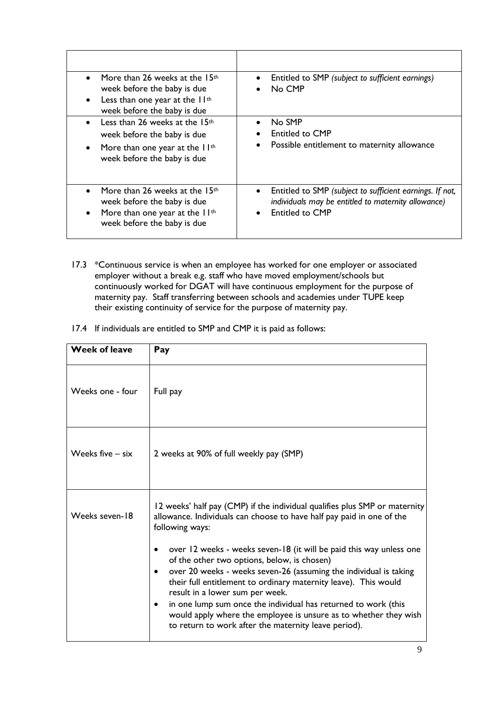| More than 26 weeks at the 15th<br>$\bullet$<br>week before the baby is due<br>Less than one year at the II <sup>th</sup><br>$\bullet$<br>week before the baby is due   | Entitled to SMP (subject to sufficient earnings)<br>No CMP                                                                                      |
|------------------------------------------------------------------------------------------------------------------------------------------------------------------------|-------------------------------------------------------------------------------------------------------------------------------------------------|
| Less than 26 weeks at the $15th$<br>$\bullet$<br>week before the baby is due<br>More than one year at the II <sup>th</sup><br>$\bullet$<br>week before the baby is due | No SMP<br>Entitled to CMP<br>Possible entitlement to maternity allowance<br>$\bullet$                                                           |
| More than 26 weeks at the $15th$<br>week before the baby is due<br>More than one year at the II <sup>th</sup><br>$\bullet$<br>week before the baby is due              | Entitled to SMP (subject to sufficient earnings. If not,<br>individuals may be entitled to maternity allowance)<br>Entitled to CMP<br>$\bullet$ |

- 17.3 \*Continuous service is when an employee has worked for one employer or associated employer without a break e.g. staff who have moved employment/schools but continuously worked for DGAT will have continuous employment for the purpose of maternity pay. Staff transferring between schools and academies under TUPE keep their existing continuity of service for the purpose of maternity pay.
- 17.4 If individuals are entitled to SMP and CMP it is paid as follows:

| <b>Week of leave</b> | Pay                                                                                                                                                                                                                                                                                                                                                                                                                                                                                  |
|----------------------|--------------------------------------------------------------------------------------------------------------------------------------------------------------------------------------------------------------------------------------------------------------------------------------------------------------------------------------------------------------------------------------------------------------------------------------------------------------------------------------|
| Weeks one - four     | Full pay                                                                                                                                                                                                                                                                                                                                                                                                                                                                             |
| Weeks five $-$ six   | 2 weeks at 90% of full weekly pay (SMP)                                                                                                                                                                                                                                                                                                                                                                                                                                              |
| Weeks seven-18       | 12 weeks' half pay (CMP) if the individual qualifies plus SMP or maternity<br>allowance. Individuals can choose to have half pay paid in one of the<br>following ways:<br>over 12 weeks - weeks seven-18 (it will be paid this way unless one<br>of the other two options, below, is chosen)<br>over 20 weeks - weeks seven-26 (assuming the individual is taking<br>$\bullet$<br>their full entitlement to ordinary maternity leave). This would<br>result in a lower sum per week. |
|                      | in one lump sum once the individual has returned to work (this<br>would apply where the employee is unsure as to whether they wish<br>to return to work after the maternity leave period).                                                                                                                                                                                                                                                                                           |